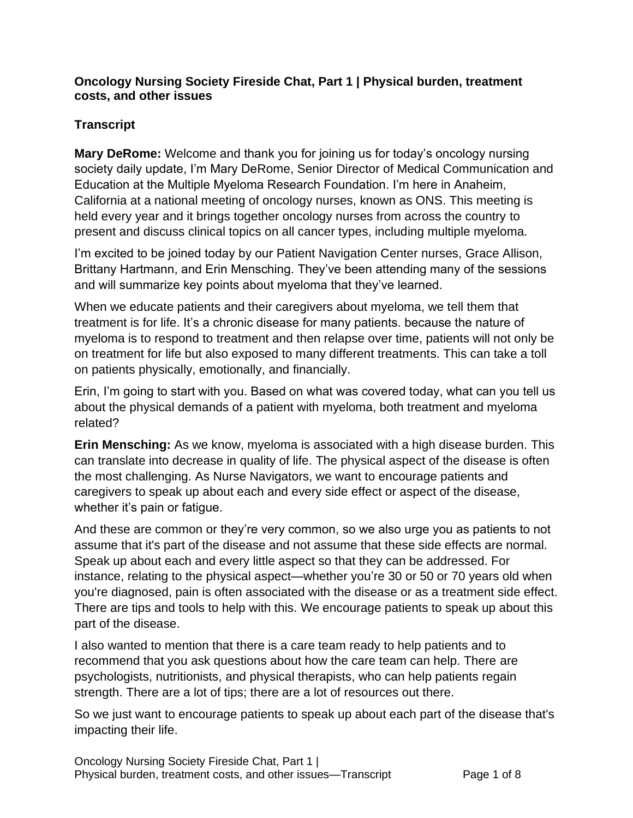## **Oncology Nursing Society Fireside Chat, Part 1 | Physical burden, treatment costs, and other issues**

## **Transcript**

**Mary DeRome:** Welcome and thank you for joining us for today's oncology nursing society daily update, I'm Mary DeRome, Senior Director of Medical Communication and Education at the Multiple Myeloma Research Foundation. I'm here in Anaheim, California at a national meeting of oncology nurses, known as ONS. This meeting is held every year and it brings together oncology nurses from across the country to present and discuss clinical topics on all cancer types, including multiple myeloma.

I'm excited to be joined today by our Patient Navigation Center nurses, Grace Allison, Brittany Hartmann, and Erin Mensching. They've been attending many of the sessions and will summarize key points about myeloma that they've learned.

When we educate patients and their caregivers about myeloma, we tell them that treatment is for life. It's a chronic disease for many patients. because the nature of myeloma is to respond to treatment and then relapse over time, patients will not only be on treatment for life but also exposed to many different treatments. This can take a toll on patients physically, emotionally, and financially.

Erin, I'm going to start with you. Based on what was covered today, what can you tell us about the physical demands of a patient with myeloma, both treatment and myeloma related?

**Erin Mensching:** As we know, myeloma is associated with a high disease burden. This can translate into decrease in quality of life. The physical aspect of the disease is often the most challenging. As Nurse Navigators, we want to encourage patients and caregivers to speak up about each and every side effect or aspect of the disease, whether it's pain or fatigue.

And these are common or they're very common, so we also urge you as patients to not assume that it's part of the disease and not assume that these side effects are normal. Speak up about each and every little aspect so that they can be addressed. For instance, relating to the physical aspect—whether you're 30 or 50 or 70 years old when you're diagnosed, pain is often associated with the disease or as a treatment side effect. There are tips and tools to help with this. We encourage patients to speak up about this part of the disease.

I also wanted to mention that there is a care team ready to help patients and to recommend that you ask questions about how the care team can help. There are psychologists, nutritionists, and physical therapists, who can help patients regain strength. There are a lot of tips; there are a lot of resources out there.

So we just want to encourage patients to speak up about each part of the disease that's impacting their life.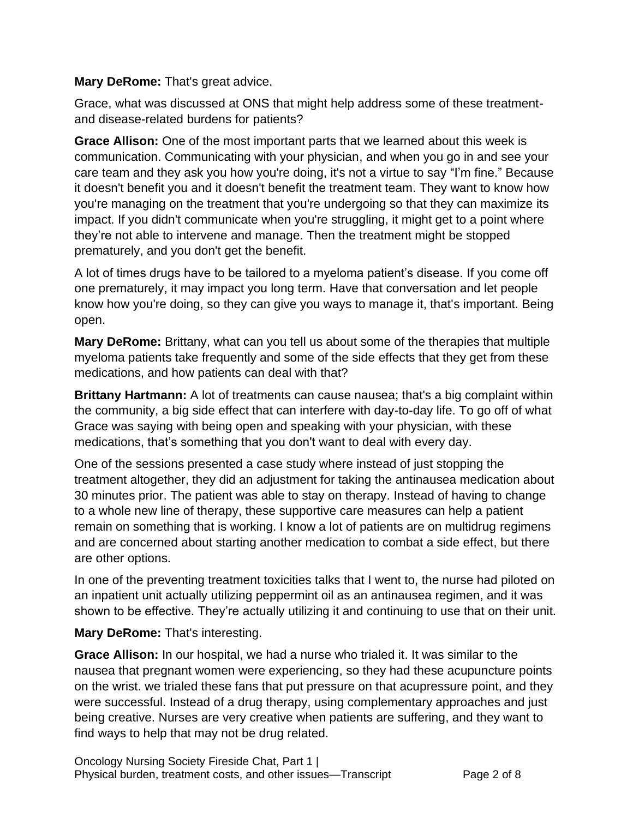**Mary DeRome:** That's great advice.

Grace, what was discussed at ONS that might help address some of these treatmentand disease-related burdens for patients?

**Grace Allison:** One of the most important parts that we learned about this week is communication. Communicating with your physician, and when you go in and see your care team and they ask you how you're doing, it's not a virtue to say "I'm fine." Because it doesn't benefit you and it doesn't benefit the treatment team. They want to know how you're managing on the treatment that you're undergoing so that they can maximize its impact. If you didn't communicate when you're struggling, it might get to a point where they're not able to intervene and manage. Then the treatment might be stopped prematurely, and you don't get the benefit.

A lot of times drugs have to be tailored to a myeloma patient's disease. If you come off one prematurely, it may impact you long term. Have that conversation and let people know how you're doing, so they can give you ways to manage it, that's important. Being open.

**Mary DeRome:** Brittany, what can you tell us about some of the therapies that multiple myeloma patients take frequently and some of the side effects that they get from these medications, and how patients can deal with that?

**Brittany Hartmann:** A lot of treatments can cause nausea; that's a big complaint within the community, a big side effect that can interfere with day-to-day life. To go off of what Grace was saying with being open and speaking with your physician, with these medications, that's something that you don't want to deal with every day.

One of the sessions presented a case study where instead of just stopping the treatment altogether, they did an adjustment for taking the antinausea medication about 30 minutes prior. The patient was able to stay on therapy. Instead of having to change to a whole new line of therapy, these supportive care measures can help a patient remain on something that is working. I know a lot of patients are on multidrug regimens and are concerned about starting another medication to combat a side effect, but there are other options.

In one of the preventing treatment toxicities talks that I went to, the nurse had piloted on an inpatient unit actually utilizing peppermint oil as an antinausea regimen, and it was shown to be effective. They're actually utilizing it and continuing to use that on their unit.

**Mary DeRome:** That's interesting.

**Grace Allison:** In our hospital, we had a nurse who trialed it. It was similar to the nausea that pregnant women were experiencing, so they had these acupuncture points on the wrist. we trialed these fans that put pressure on that acupressure point, and they were successful. Instead of a drug therapy, using complementary approaches and just being creative. Nurses are very creative when patients are suffering, and they want to find ways to help that may not be drug related.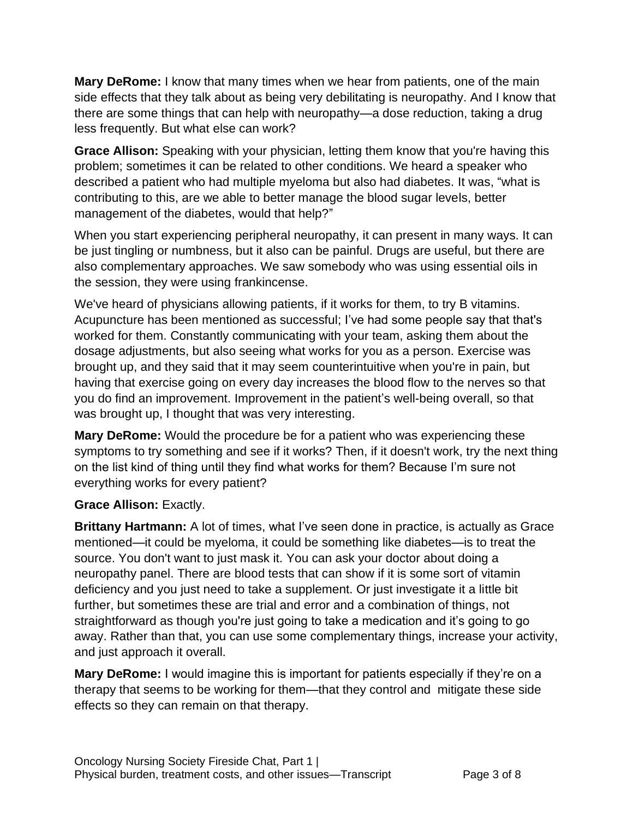**Mary DeRome:** I know that many times when we hear from patients, one of the main side effects that they talk about as being very debilitating is neuropathy. And I know that there are some things that can help with neuropathy—a dose reduction, taking a drug less frequently. But what else can work?

**Grace Allison:** Speaking with your physician, letting them know that you're having this problem; sometimes it can be related to other conditions. We heard a speaker who described a patient who had multiple myeloma but also had diabetes. It was, "what is contributing to this, are we able to better manage the blood sugar levels, better management of the diabetes, would that help?"

When you start experiencing peripheral neuropathy, it can present in many ways. It can be just tingling or numbness, but it also can be painful. Drugs are useful, but there are also complementary approaches. We saw somebody who was using essential oils in the session, they were using frankincense.

We've heard of physicians allowing patients, if it works for them, to try B vitamins. Acupuncture has been mentioned as successful; I've had some people say that that's worked for them. Constantly communicating with your team, asking them about the dosage adjustments, but also seeing what works for you as a person. Exercise was brought up, and they said that it may seem counterintuitive when you're in pain, but having that exercise going on every day increases the blood flow to the nerves so that you do find an improvement. Improvement in the patient's well-being overall, so that was brought up, I thought that was very interesting.

**Mary DeRome:** Would the procedure be for a patient who was experiencing these symptoms to try something and see if it works? Then, if it doesn't work, try the next thing on the list kind of thing until they find what works for them? Because I'm sure not everything works for every patient?

## **Grace Allison:** Exactly.

**Brittany Hartmann:** A lot of times, what I've seen done in practice, is actually as Grace mentioned—it could be myeloma, it could be something like diabetes—is to treat the source. You don't want to just mask it. You can ask your doctor about doing a neuropathy panel. There are blood tests that can show if it is some sort of vitamin deficiency and you just need to take a supplement. Or just investigate it a little bit further, but sometimes these are trial and error and a combination of things, not straightforward as though you're just going to take a medication and it's going to go away. Rather than that, you can use some complementary things, increase your activity, and just approach it overall.

**Mary DeRome:** I would imagine this is important for patients especially if they're on a therapy that seems to be working for them—that they control and mitigate these side effects so they can remain on that therapy.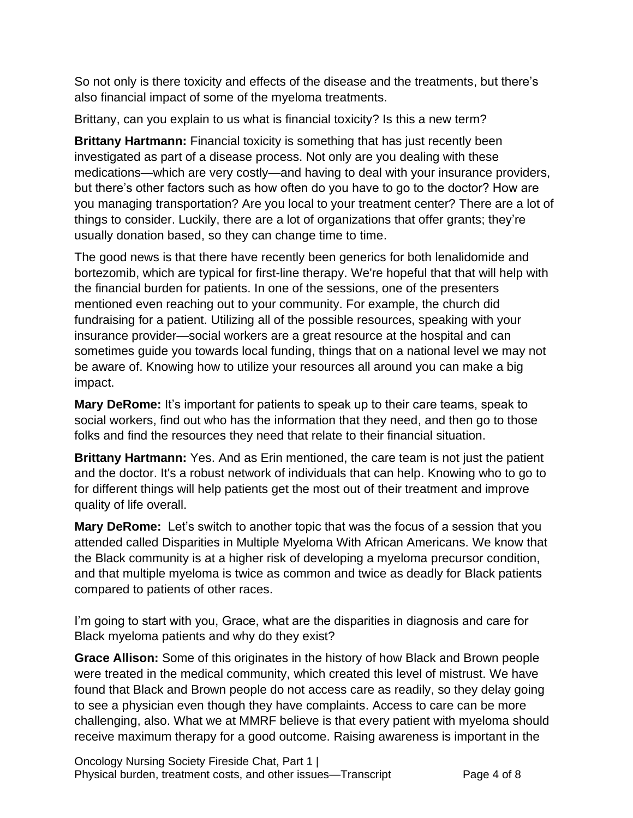So not only is there toxicity and effects of the disease and the treatments, but there's also financial impact of some of the myeloma treatments.

Brittany, can you explain to us what is financial toxicity? Is this a new term?

**Brittany Hartmann:** Financial toxicity is something that has just recently been investigated as part of a disease process. Not only are you dealing with these medications—which are very costly—and having to deal with your insurance providers, but there's other factors such as how often do you have to go to the doctor? How are you managing transportation? Are you local to your treatment center? There are a lot of things to consider. Luckily, there are a lot of organizations that offer grants; they're usually donation based, so they can change time to time.

The good news is that there have recently been generics for both lenalidomide and bortezomib, which are typical for first-line therapy. We're hopeful that that will help with the financial burden for patients. In one of the sessions, one of the presenters mentioned even reaching out to your community. For example, the church did fundraising for a patient. Utilizing all of the possible resources, speaking with your insurance provider—social workers are a great resource at the hospital and can sometimes guide you towards local funding, things that on a national level we may not be aware of. Knowing how to utilize your resources all around you can make a big impact.

**Mary DeRome:** It's important for patients to speak up to their care teams, speak to social workers, find out who has the information that they need, and then go to those folks and find the resources they need that relate to their financial situation.

**Brittany Hartmann:** Yes. And as Erin mentioned, the care team is not just the patient and the doctor. It's a robust network of individuals that can help. Knowing who to go to for different things will help patients get the most out of their treatment and improve quality of life overall.

**Mary DeRome:** Let's switch to another topic that was the focus of a session that you attended called Disparities in Multiple Myeloma With African Americans. We know that the Black community is at a higher risk of developing a myeloma precursor condition, and that multiple myeloma is twice as common and twice as deadly for Black patients compared to patients of other races.

I'm going to start with you, Grace, what are the disparities in diagnosis and care for Black myeloma patients and why do they exist?

**Grace Allison:** Some of this originates in the history of how Black and Brown people were treated in the medical community, which created this level of mistrust. We have found that Black and Brown people do not access care as readily, so they delay going to see a physician even though they have complaints. Access to care can be more challenging, also. What we at MMRF believe is that every patient with myeloma should receive maximum therapy for a good outcome. Raising awareness is important in the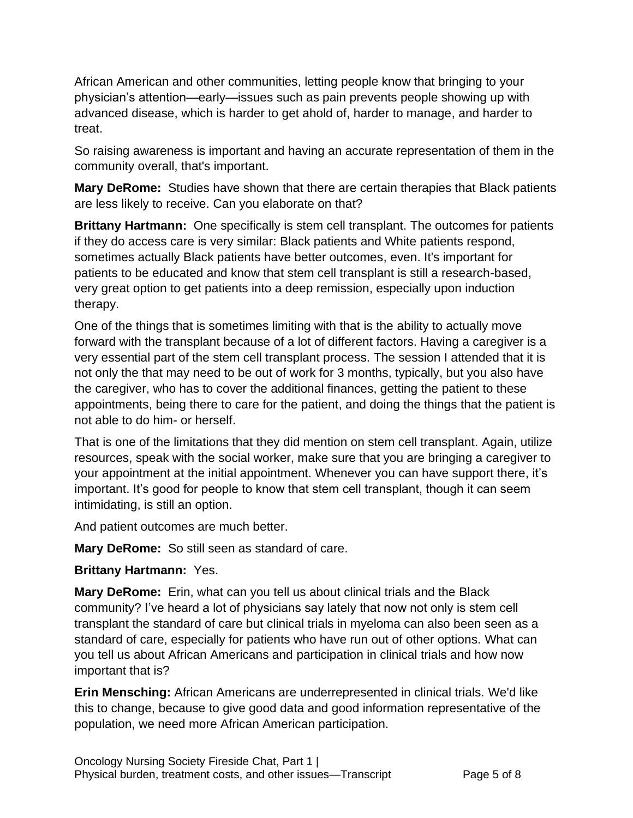African American and other communities, letting people know that bringing to your physician's attention—early—issues such as pain prevents people showing up with advanced disease, which is harder to get ahold of, harder to manage, and harder to treat.

So raising awareness is important and having an accurate representation of them in the community overall, that's important.

**Mary DeRome:** Studies have shown that there are certain therapies that Black patients are less likely to receive. Can you elaborate on that?

**Brittany Hartmann:** One specifically is stem cell transplant. The outcomes for patients if they do access care is very similar: Black patients and White patients respond, sometimes actually Black patients have better outcomes, even. It's important for patients to be educated and know that stem cell transplant is still a research-based, very great option to get patients into a deep remission, especially upon induction therapy.

One of the things that is sometimes limiting with that is the ability to actually move forward with the transplant because of a lot of different factors. Having a caregiver is a very essential part of the stem cell transplant process. The session I attended that it is not only the that may need to be out of work for 3 months, typically, but you also have the caregiver, who has to cover the additional finances, getting the patient to these appointments, being there to care for the patient, and doing the things that the patient is not able to do him- or herself.

That is one of the limitations that they did mention on stem cell transplant. Again, utilize resources, speak with the social worker, make sure that you are bringing a caregiver to your appointment at the initial appointment. Whenever you can have support there, it's important. It's good for people to know that stem cell transplant, though it can seem intimidating, is still an option.

And patient outcomes are much better.

**Mary DeRome:** So still seen as standard of care.

## **Brittany Hartmann:** Yes.

**Mary DeRome:** Erin, what can you tell us about clinical trials and the Black community? I've heard a lot of physicians say lately that now not only is stem cell transplant the standard of care but clinical trials in myeloma can also been seen as a standard of care, especially for patients who have run out of other options. What can you tell us about African Americans and participation in clinical trials and how now important that is?

**Erin Mensching:** African Americans are underrepresented in clinical trials. We'd like this to change, because to give good data and good information representative of the population, we need more African American participation.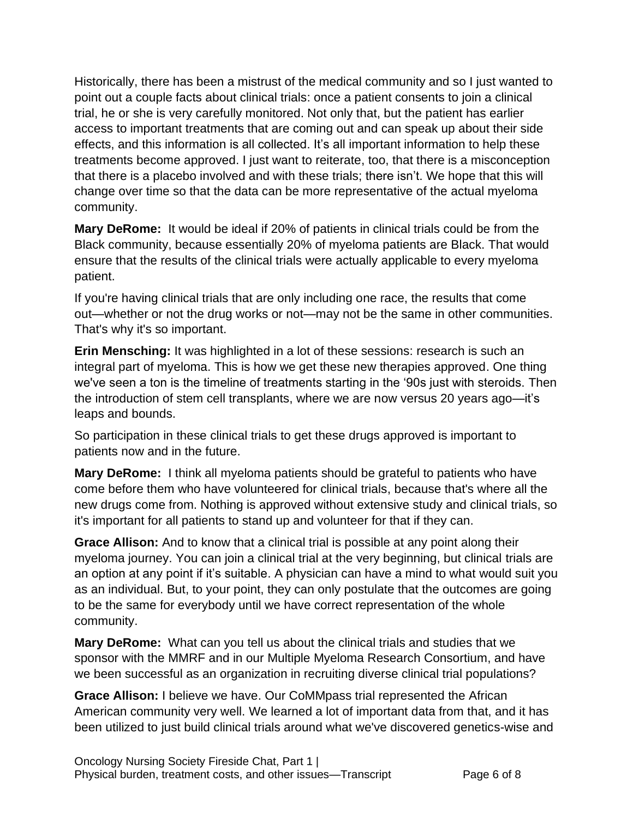Historically, there has been a mistrust of the medical community and so I just wanted to point out a couple facts about clinical trials: once a patient consents to join a clinical trial, he or she is very carefully monitored. Not only that, but the patient has earlier access to important treatments that are coming out and can speak up about their side effects, and this information is all collected. It's all important information to help these treatments become approved. I just want to reiterate, too, that there is a misconception that there is a placebo involved and with these trials; there isn't. We hope that this will change over time so that the data can be more representative of the actual myeloma community.

**Mary DeRome:** It would be ideal if 20% of patients in clinical trials could be from the Black community, because essentially 20% of myeloma patients are Black. That would ensure that the results of the clinical trials were actually applicable to every myeloma patient.

If you're having clinical trials that are only including one race, the results that come out—whether or not the drug works or not—may not be the same in other communities. That's why it's so important.

**Erin Mensching:** It was highlighted in a lot of these sessions: research is such an integral part of myeloma. This is how we get these new therapies approved. One thing we've seen a ton is the timeline of treatments starting in the '90s just with steroids. Then the introduction of stem cell transplants, where we are now versus 20 years ago—it's leaps and bounds.

So participation in these clinical trials to get these drugs approved is important to patients now and in the future.

**Mary DeRome:** I think all myeloma patients should be grateful to patients who have come before them who have volunteered for clinical trials, because that's where all the new drugs come from. Nothing is approved without extensive study and clinical trials, so it's important for all patients to stand up and volunteer for that if they can.

**Grace Allison:** And to know that a clinical trial is possible at any point along their myeloma journey. You can join a clinical trial at the very beginning, but clinical trials are an option at any point if it's suitable. A physician can have a mind to what would suit you as an individual. But, to your point, they can only postulate that the outcomes are going to be the same for everybody until we have correct representation of the whole community.

**Mary DeRome:** What can you tell us about the clinical trials and studies that we sponsor with the MMRF and in our Multiple Myeloma Research Consortium, and have we been successful as an organization in recruiting diverse clinical trial populations?

**Grace Allison:** I believe we have. Our CoMMpass trial represented the African American community very well. We learned a lot of important data from that, and it has been utilized to just build clinical trials around what we've discovered genetics-wise and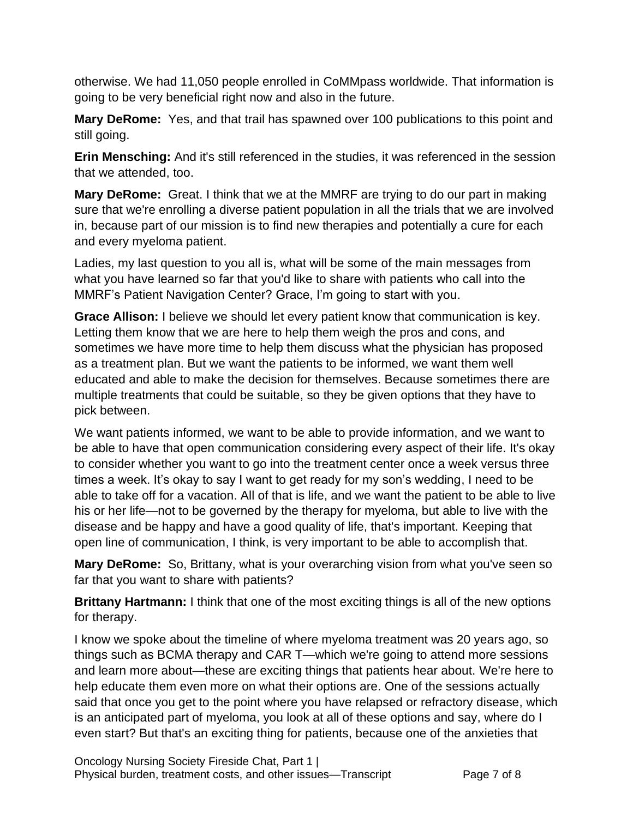otherwise. We had 11,050 people enrolled in CoMMpass worldwide. That information is going to be very beneficial right now and also in the future.

**Mary DeRome:** Yes, and that trail has spawned over 100 publications to this point and still going.

**Erin Mensching:** And it's still referenced in the studies, it was referenced in the session that we attended, too.

**Mary DeRome:** Great. I think that we at the MMRF are trying to do our part in making sure that we're enrolling a diverse patient population in all the trials that we are involved in, because part of our mission is to find new therapies and potentially a cure for each and every myeloma patient.

Ladies, my last question to you all is, what will be some of the main messages from what you have learned so far that you'd like to share with patients who call into the MMRF's Patient Navigation Center? Grace, I'm going to start with you.

**Grace Allison:** I believe we should let every patient know that communication is key. Letting them know that we are here to help them weigh the pros and cons, and sometimes we have more time to help them discuss what the physician has proposed as a treatment plan. But we want the patients to be informed, we want them well educated and able to make the decision for themselves. Because sometimes there are multiple treatments that could be suitable, so they be given options that they have to pick between.

We want patients informed, we want to be able to provide information, and we want to be able to have that open communication considering every aspect of their life. It's okay to consider whether you want to go into the treatment center once a week versus three times a week. It's okay to say I want to get ready for my son's wedding, I need to be able to take off for a vacation. All of that is life, and we want the patient to be able to live his or her life—not to be governed by the therapy for myeloma, but able to live with the disease and be happy and have a good quality of life, that's important. Keeping that open line of communication, I think, is very important to be able to accomplish that.

**Mary DeRome:** So, Brittany, what is your overarching vision from what you've seen so far that you want to share with patients?

**Brittany Hartmann:** I think that one of the most exciting things is all of the new options for therapy.

I know we spoke about the timeline of where myeloma treatment was 20 years ago, so things such as BCMA therapy and CAR T—which we're going to attend more sessions and learn more about—these are exciting things that patients hear about. We're here to help educate them even more on what their options are. One of the sessions actually said that once you get to the point where you have relapsed or refractory disease, which is an anticipated part of myeloma, you look at all of these options and say, where do I even start? But that's an exciting thing for patients, because one of the anxieties that